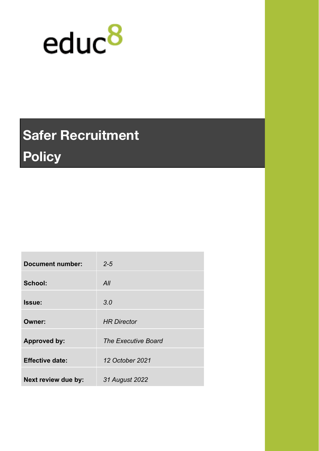

# **Safer Recruitment Policy**

| <b>Document number:</b> | $2 - 5$                    |
|-------------------------|----------------------------|
| School:                 | All                        |
| Issue:                  | 3.0                        |
| Owner:                  | <b>HR Director</b>         |
| <b>Approved by:</b>     | <b>The Executive Board</b> |
| <b>Effective date:</b>  | 12 October 2021            |
| Next review due by:     | 31 August 2022             |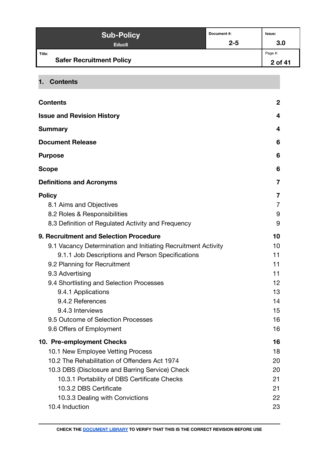| <b>Sub-Policy</b>                         | Document#: | lssue:             |
|-------------------------------------------|------------|--------------------|
| Educ <sub>8</sub>                         | $2 - 5$    | 3.0                |
| Title:<br><b>Safer Recruitment Policy</b> |            | Page #:<br>2 of 41 |

<span id="page-1-0"></span>**1. Contents**

| <b>Contents</b>                                               | $\mathbf{2}$ |
|---------------------------------------------------------------|--------------|
| <b>Issue and Revision History</b>                             | 4            |
| <b>Summary</b>                                                | 4            |
| <b>Document Release</b>                                       | 6            |
| <b>Purpose</b>                                                | 6            |
| <b>Scope</b>                                                  | 6            |
| <b>Definitions and Acronyms</b>                               | 7            |
| <b>Policy</b>                                                 | 7            |
| 8.1 Aims and Objectives                                       | 7            |
| 8.2 Roles & Responsibilities                                  | 9            |
| 8.3 Definition of Regulated Activity and Frequency            | 9            |
| 9. Recruitment and Selection Procedure                        | 10           |
| 9.1 Vacancy Determination and Initiating Recruitment Activity | 10           |
| 9.1.1 Job Descriptions and Person Specifications              | 11           |
| 9.2 Planning for Recruitment                                  | 11           |
| 9.3 Advertising                                               | 11           |
| 9.4 Shortlisting and Selection Processes                      | 12           |
| 9.4.1 Applications                                            | 13           |
| 9.4.2 References                                              | 14           |
| 9.4.3 Interviews                                              | 15           |
| 9.5 Outcome of Selection Processes                            | 16           |
| 9.6 Offers of Employment                                      | 16           |
| 10. Pre-employment Checks                                     | 16           |
| 10.1 New Employee Vetting Process                             | 18           |
| 10.2 The Rehabilitation of Offenders Act 1974                 | 20           |
| 10.3 DBS (Disclosure and Barring Service) Check               | 20           |
| 10.3.1 Portability of DBS Certificate Checks                  | 21           |
| 10.3.2 DBS Certificate                                        | 21           |
| 10.3.3 Dealing with Convictions                               | 22           |
| 10.4 Induction                                                | 23           |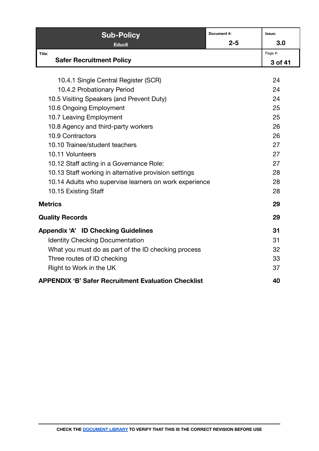| <b>Sub-Policy</b>                                          | Document#: | Issue:  |
|------------------------------------------------------------|------------|---------|
| Educ <sub>8</sub>                                          | $2 - 5$    | 3.0     |
| Title:                                                     |            | Page #: |
| <b>Safer Recruitment Policy</b>                            |            | 3 of 41 |
|                                                            |            |         |
| 10.4.1 Single Central Register (SCR)                       |            | 24      |
| 10.4.2 Probationary Period                                 |            | 24      |
| 10.5 Visiting Speakers (and Prevent Duty)                  |            | 24      |
| 10.6 Ongoing Employment                                    |            | 25      |
| 10.7 Leaving Employment                                    |            | 25      |
| 10.8 Agency and third-party workers                        |            | 26      |
| 10.9 Contractors                                           |            | 26      |
| 10.10 Trainee/student teachers                             |            | 27      |
| 10.11 Volunteers                                           |            | 27      |
| 10.12 Staff acting in a Governance Role:                   |            | 27      |
| 10.13 Staff working in alternative provision settings      |            | 28      |
| 10.14 Adults who supervise learners on work experience     |            | 28      |
| 10.15 Existing Staff                                       |            | 28      |
| <b>Metrics</b>                                             |            | 29      |
| <b>Quality Records</b>                                     |            | 29      |
| <b>Appendix 'A' ID Checking Guidelines</b>                 |            | 31      |
| <b>Identity Checking Documentation</b>                     |            | 31      |
| What you must do as part of the ID checking process        |            | 32      |
| Three routes of ID checking                                |            | 33      |
| Right to Work in the UK                                    |            | 37      |
| <b>APPENDIX 'B' Safer Recruitment Evaluation Checklist</b> |            | 40      |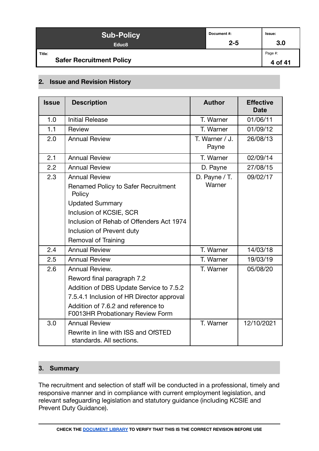| <b>Sub-Policy</b>                         | Document #: | Issue:             |
|-------------------------------------------|-------------|--------------------|
| Educ <sub>8</sub>                         | $2 - 5$     | 3.0                |
| Title:<br><b>Safer Recruitment Policy</b> |             | Page #:<br>4 of 41 |

#### <span id="page-3-0"></span>**2. Issue and Revision History**

| <b>Issue</b> | <b>Description</b>                                                     | <b>Author</b>           | <b>Effective</b><br><b>Date</b> |
|--------------|------------------------------------------------------------------------|-------------------------|---------------------------------|
| 1.0          | <b>Initial Release</b>                                                 | T. Warner               | 01/06/11                        |
| 1.1          | Review                                                                 | T. Warner               | 01/09/12                        |
| 2.0          | <b>Annual Review</b>                                                   | T. Warner / J.<br>Payne | 26/08/13                        |
| 2.1          | <b>Annual Review</b>                                                   | T. Warner               | 02/09/14                        |
| 2.2          | <b>Annual Review</b>                                                   | D. Payne                | 27/08/15                        |
| 2.3          | <b>Annual Review</b>                                                   | D. Payne / T.           | 09/02/17                        |
|              | Renamed Policy to Safer Recruitment<br>Policy                          | Warner                  |                                 |
|              | <b>Updated Summary</b>                                                 |                         |                                 |
|              | Inclusion of KCSIE, SCR                                                |                         |                                 |
|              | Inclusion of Rehab of Offenders Act 1974                               |                         |                                 |
|              | Inclusion of Prevent duty                                              |                         |                                 |
|              | <b>Removal of Training</b>                                             |                         |                                 |
| 2.4          | <b>Annual Review</b>                                                   | T. Warner               | 14/03/18                        |
| 2.5          | <b>Annual Review</b>                                                   | T. Warner               | 19/03/19                        |
| 2.6          | Annual Review.                                                         | T. Warner               | 05/08/20                        |
|              | Reword final paragraph 7.2                                             |                         |                                 |
|              | Addition of DBS Update Service to 7.5.2                                |                         |                                 |
|              | 7.5.4.1 Inclusion of HR Director approval                              |                         |                                 |
|              | Addition of 7.6.2 and reference to<br>F0013HR Probationary Review Form |                         |                                 |
| 3.0          | <b>Annual Review</b>                                                   | T. Warner               | 12/10/2021                      |
|              | Rewrite in line with ISS and OfSTED<br>standards. All sections.        |                         |                                 |

## <span id="page-3-1"></span>**3. Summary**

The recruitment and selection of staff will be conducted in a professional, timely and responsive manner and in compliance with current employment legislation, and relevant safeguarding legislation and statutory guidance (including KCSIE and Prevent Duty Guidance).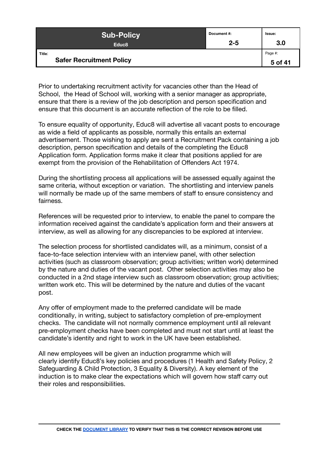| <b>Sub-Policy</b>                         | Document #: | Issue:             |
|-------------------------------------------|-------------|--------------------|
| Educ <sub>8</sub>                         | $2 - 5$     | 3.0                |
| Title:<br><b>Safer Recruitment Policy</b> |             | Page #:<br>5 of 41 |

Prior to undertaking recruitment activity for vacancies other than the Head of School, the Head of School will, working with a senior manager as appropriate, ensure that there is a review of the job description and person specification and ensure that this document is an accurate reflection of the role to be filled.

To ensure equality of opportunity, Educ8 will advertise all vacant posts to encourage as wide a field of applicants as possible, normally this entails an external advertisement. Those wishing to apply are sent a Recruitment Pack containing a job description, person specification and details of the completing the Educ8 Application form. Application forms make it clear that positions applied for are exempt from the provision of the Rehabilitation of Offenders Act 1974.

During the shortlisting process all applications will be assessed equally against the same criteria, without exception or variation. The shortlisting and interview panels will normally be made up of the same members of staff to ensure consistency and fairness.

References will be requested prior to interview, to enable the panel to compare the information received against the candidate's application form and their answers at interview, as well as allowing for any discrepancies to be explored at interview.

The selection process for shortlisted candidates will, as a minimum, consist of a face-to-face selection interview with an interview panel, with other selection activities (such as classroom observation; group activities; written work) determined by the nature and duties of the vacant post. Other selection activities may also be conducted in a 2nd stage interview such as classroom observation; group activities; written work etc. This will be determined by the nature and duties of the vacant post.

Any offer of employment made to the preferred candidate will be made conditionally, in writing, subject to satisfactory completion of pre-employment checks. The candidate will not normally commence employment until all relevant pre-employment checks have been completed and must not start until at least the candidate's identity and right to work in the UK have been established.

All new employees will be given an induction programme which will clearly identify Educ8's key policies and procedures (1 Health and Safety Policy, 2 Safeguarding & Child Protection, 3 Equality & Diversity). A key element of the induction is to make clear the expectations which will govern how staff carry out their roles and responsibilities.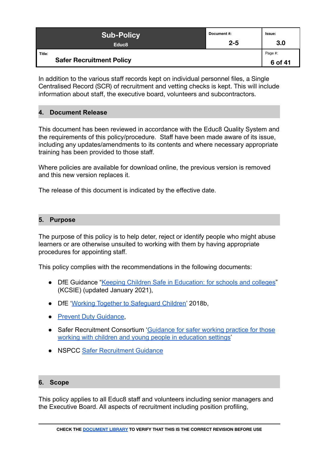| <b>Sub-Policy</b>                         | Document#: | Issue:             |
|-------------------------------------------|------------|--------------------|
| Educ <sub>8</sub>                         | $2 - 5$    | 3.0                |
| Title:<br><b>Safer Recruitment Policy</b> |            | Page #:<br>6 of 41 |

In addition to the various staff records kept on individual personnel files, a Single Centralised Record (SCR) of recruitment and vetting checks is kept. This will include information about staff, the executive board, volunteers and subcontractors.

#### <span id="page-5-0"></span>**4. Document Release**

This document has been reviewed in accordance with the Educ8 Quality System and the requirements of this policy/procedure. Staff have been made aware of its issue, including any updates/amendments to its contents and where necessary appropriate training has been provided to those staff.

Where policies are available for download online, the previous version is removed and this new version replaces it.

The release of this document is indicated by the effective date.

#### <span id="page-5-1"></span>**5. Purpose**

The purpose of this policy is to help deter, reject or identify people who might abuse learners or are otherwise unsuited to working with them by having appropriate procedures for appointing staff.

This policy complies with the recommendations in the following documents:

- DfE Guidance "[Keeping Children Safe in Education:](https://www.gov.uk/government/publications/keeping-children-safe-in-education--2?utm_source=0a6e0ddb-4e4d-4b90-9cfa-70600f6fbbfd&utm_medium=email&utm_campaign=govuk-notifications&utm_content=immediate) for schools and colleges" (KCSIE) (updated January 2021),
- DfE '[Working Together to Safeguard Children'](https://assets.publishing.service.gov.uk/government/uploads/system/uploads/attachment_data/file/942454/Working_together_to_safeguard_children_inter_agency_guidance.pdf) 2018b,
- [Prevent Duty Guidance](https://www.gov.uk/government/publications/prevent-duty-guidance),
- Safer Recruitment Consortium ['Guidance for safer working](https://c-cluster-110.uploads.documents.cimpress.io/v1/uploads/13ecce28-e8f2-49e9-83c6-c29337cd8071~110/original?tenant=vbu-digital) practice for those [working with children and young people in education settings'](https://c-cluster-110.uploads.documents.cimpress.io/v1/uploads/13ecce28-e8f2-49e9-83c6-c29337cd8071~110/original?tenant=vbu-digital)
- NSPCC [Safer Recruitment Guidance](https://learning.nspcc.org.uk/safeguarding-child-protection/safer-recruitment?_ga=2.239818243.1875801751.1620644543-1215900508.1620644543#heading-top)

#### <span id="page-5-2"></span>**6. Scope**

This policy applies to all Educ8 staff and volunteers including senior managers and the Executive Board. All aspects of recruitment including position profiling,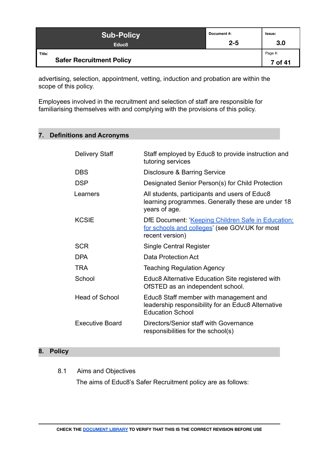| <b>Sub-Policy</b>                         | Document#: | Issue:             |
|-------------------------------------------|------------|--------------------|
| Educ <sub>8</sub>                         | $2 - 5$    | 3.0                |
| Title:<br><b>Safer Recruitment Policy</b> |            | Page #:<br>7 of 41 |

advertising, selection, appointment, vetting, induction and probation are within the scope of this policy.

Employees involved in the recruitment and selection of staff are responsible for familiarising themselves with and complying with the provisions of this policy.

# <span id="page-6-0"></span>**7. Definitions and Acronyms**

| <b>Delivery Staff</b> | Staff employed by Educ8 to provide instruction and<br>tutoring services                                                 |
|-----------------------|-------------------------------------------------------------------------------------------------------------------------|
| <b>DBS</b>            | Disclosure & Barring Service                                                                                            |
| <b>DSP</b>            | Designated Senior Person(s) for Child Protection                                                                        |
| Learners              | All students, participants and users of Educ8<br>learning programmes. Generally these are under 18<br>years of age.     |
| <b>KCSIE</b>          | DfE Document: 'Keeping Children Safe in Education:<br>for schools and colleges' (see GOV.UK for most<br>recent version) |
| <b>SCR</b>            | Single Central Register                                                                                                 |
| DPA                   | Data Protection Act                                                                                                     |
| <b>TRA</b>            | <b>Teaching Regulation Agency</b>                                                                                       |
| School                | Educ8 Alternative Education Site registered with<br>OfSTED as an independent school.                                    |
| <b>Head of School</b> | Educ8 Staff member with management and<br>leadership responsibility for an Educ8 Alternative<br><b>Education School</b> |
| Executive Board       | Directors/Senior staff with Governance<br>responsibilities for the school(s)                                            |

# <span id="page-6-2"></span><span id="page-6-1"></span>**8. Policy**

8.1 Aims and Objectives

The aims of Educ8's Safer Recruitment policy are as follows: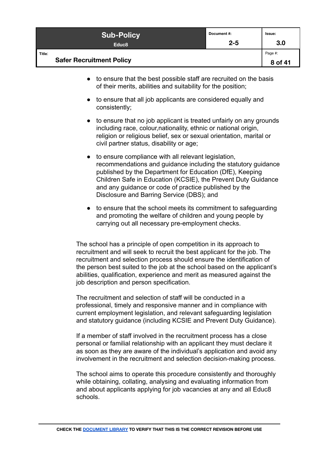| <b>Sub-Policy</b>                         | Document #: | Issue:             |
|-------------------------------------------|-------------|--------------------|
| Educ <sub>8</sub>                         | $2 - 5$     | 3.0                |
| Title:<br><b>Safer Recruitment Policy</b> |             | Page #:<br>8 of 41 |

- to ensure that the best possible staff are recruited on the basis of their merits, abilities and suitability for the position;
- to ensure that all job applicants are considered equally and consistently;
- to ensure that no job applicant is treated unfairly on any grounds including race, colour,nationality, ethnic or national origin, religion or religious belief, sex or sexual orientation, marital or civil partner status, disability or age;
- to ensure compliance with all relevant legislation, recommendations and guidance including the statutory guidance published by the Department for Education (DfE), Keeping Children Safe in Education (KCSIE), the Prevent Duty Guidance and any guidance or code of practice published by the Disclosure and Barring Service (DBS); and
- to ensure that the school meets its commitment to safeguarding and promoting the welfare of children and young people by carrying out all necessary pre-employment checks.

The school has a principle of open competition in its approach to recruitment and will seek to recruit the best applicant for the job. The recruitment and selection process should ensure the identification of the person best suited to the job at the school based on the applicant's abilities, qualification, experience and merit as measured against the job description and person specification.

The recruitment and selection of staff will be conducted in a professional, timely and responsive manner and in compliance with current employment legislation, and relevant safeguarding legislation and statutory guidance (including KCSIE and Prevent Duty Guidance).

If a member of staff involved in the recruitment process has a close personal or familial relationship with an applicant they must declare it as soon as they are aware of the individual's application and avoid any involvement in the recruitment and selection decision-making process.

The school aims to operate this procedure consistently and thoroughly while obtaining, collating, analysing and evaluating information from and about applicants applying for job vacancies at any and all Educ8 schools.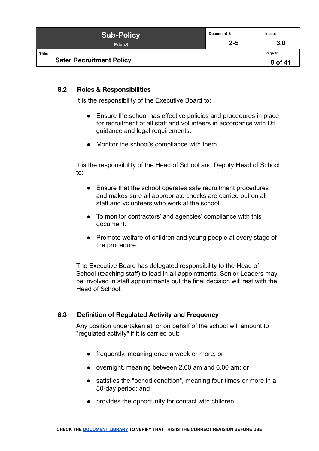| <b>Sub-Policy</b>                         | Document #: | Issue:             |
|-------------------------------------------|-------------|--------------------|
| Educ <sub>8</sub>                         | $2 - 5$     | 3.0                |
| Title:<br><b>Safer Recruitment Policy</b> |             | Page #:<br>9 of 41 |

#### <span id="page-8-0"></span>**8.2 Roles & Responsibilities**

It is the responsibility of the Executive Board to:

- Ensure the school has effective policies and procedures in place for recruitment of all staff and volunteers in accordance with DfE guidance and legal requirements.
- Monitor the school's compliance with them.

It is the responsibility of the Head of School and Deputy Head of School to:

- Ensure that the school operates safe recruitment procedures and makes sure all appropriate checks are carried out on all staff and volunteers who work at the school.
- To monitor contractors' and agencies' compliance with this document.
- Promote welfare of children and young people at every stage of the procedure.

The Executive Board has delegated responsibility to the Head of School (teaching staff) to lead in all appointments. Senior Leaders may be involved in staff appointments but the final decision will rest with the Head of School.

#### <span id="page-8-1"></span>**8.3 Definition of Regulated Activity and Frequency**

Any position undertaken at, or on behalf of the school will amount to "regulated activity" if it is carried out:

- frequently, meaning once a week or more; or
- overnight, meaning between 2.00 am and 6.00 am; or
- satisfies the "period condition", meaning four times or more in a 30-day period; and
- provides the opportunity for contact with children.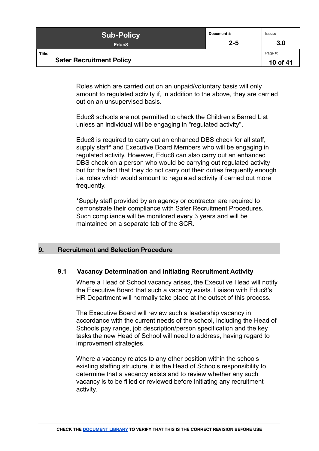| <b>Sub-Policy</b>                         | Document #: | Issue:              |
|-------------------------------------------|-------------|---------------------|
| Educ <sub>8</sub>                         | $2 - 5$     | 3.0                 |
| Title:<br><b>Safer Recruitment Policy</b> |             | Page #:<br>10 of 41 |

Roles which are carried out on an unpaid/voluntary basis will only amount to regulated activity if, in addition to the above, they are carried out on an unsupervised basis.

Educ8 schools are not permitted to check the Children's Barred List unless an individual will be engaging in "regulated activity".

Educ8 is required to carry out an enhanced DBS check for all staff, supply staff\* and Executive Board Members who will be engaging in regulated activity. However, Educ8 can also carry out an enhanced DBS check on a person who would be carrying out regulated activity but for the fact that they do not carry out their duties frequently enough i.e. roles which would amount to regulated activity if carried out more frequently.

\*Supply staff provided by an agency or contractor are required to demonstrate their compliance with Safer Recruitment Procedures. Such compliance will be monitored every 3 years and will be maintained on a separate tab of the SCR.

#### <span id="page-9-0"></span>**9. Recruitment and Selection Procedure**

#### <span id="page-9-1"></span>**9.1 Vacancy Determination and Initiating Recruitment Activity**

Where a Head of School vacancy arises, the Executive Head will notify the Executive Board that such a vacancy exists. Liaison with Educ8's HR Department will normally take place at the outset of this process.

The Executive Board will review such a leadership vacancy in accordance with the current needs of the school, including the Head of Schools pay range, job description/person specification and the key tasks the new Head of School will need to address, having regard to improvement strategies.

Where a vacancy relates to any other position within the schools existing staffing structure, it is the Head of Schools responsibility to determine that a vacancy exists and to review whether any such vacancy is to be filled or reviewed before initiating any recruitment activity.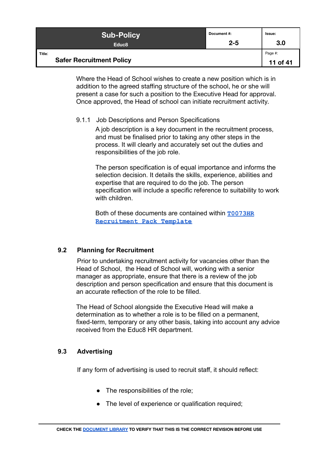| <b>Sub-Policy</b>                         | Document #: | Issue:              |
|-------------------------------------------|-------------|---------------------|
| Educ <sub>8</sub>                         | $2 - 5$     | 3.0                 |
| Title:<br><b>Safer Recruitment Policy</b> |             | Page #:<br>11 of 41 |

Where the Head of School wishes to create a new position which is in addition to the agreed staffing structure of the school, he or she will present a case for such a position to the Executive Head for approval. Once approved, the Head of school can initiate recruitment activity.

#### <span id="page-10-0"></span>9.1.1 Job Descriptions and Person Specifications

A job description is a key document in the recruitment process, and must be finalised prior to taking any other steps in the process. It will clearly and accurately set out the duties and responsibilities of the job role.

The person specification is of equal importance and informs the selection decision. It details the skills, experience, abilities and expertise that are required to do the job. The person specification will include a specific reference to suitability to work with children.

Both of these documents are contained within **[T0073HR](https://docs.google.com/document/d/1v_gsHIUMw9IbpaVfNmAHHYk4d4MEjONqcfvJHEbhIHA/edit) [Recruitment Pack Template](https://docs.google.com/document/d/1v_gsHIUMw9IbpaVfNmAHHYk4d4MEjONqcfvJHEbhIHA/edit)**

#### <span id="page-10-1"></span>**9.2 Planning for Recruitment**

Prior to undertaking recruitment activity for vacancies other than the Head of School, the Head of School will, working with a senior manager as appropriate, ensure that there is a review of the job description and person specification and ensure that this document is an accurate reflection of the role to be filled.

The Head of School alongside the Executive Head will make a determination as to whether a role is to be filled on a permanent, fixed-term, temporary or any other basis, taking into account any advice received from the Educ8 HR department.

#### <span id="page-10-2"></span>**9.3 Advertising**

If any form of advertising is used to recruit staff, it should reflect:

- The responsibilities of the role;
- The level of experience or qualification required;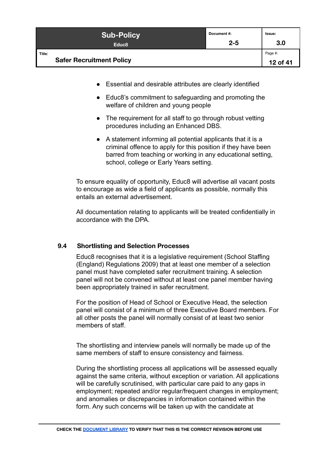| <b>Sub-Policy</b>                         | Document#: | lssue:              |
|-------------------------------------------|------------|---------------------|
| Educ <sub>8</sub>                         | $2 - 5$    | 3.0                 |
| Title:<br><b>Safer Recruitment Policy</b> |            | Page #:<br>12 of 41 |

- Essential and desirable attributes are clearly identified
- Educ8's commitment to safeguarding and promoting the welfare of children and young people
- The requirement for all staff to go through robust vetting procedures including an Enhanced DBS.
- A statement informing all potential applicants that it is a criminal offence to apply for this position if they have been barred from teaching or working in any educational setting, school, college or Early Years setting.

To ensure equality of opportunity, Educ8 will advertise all vacant posts to encourage as wide a field of applicants as possible, normally this entails an external advertisement.

All documentation relating to applicants will be treated confidentially in accordance with the DPA.

#### <span id="page-11-0"></span>**9.4 Shortlisting and Selection Processes**

Educ8 recognises that it is a legislative requirement (School Staffing (England) Regulations 2009) that at least one member of a selection panel must have completed safer recruitment training. A selection panel will not be convened without at least one panel member having been appropriately trained in safer recruitment.

For the position of Head of School or Executive Head, the selection panel will consist of a minimum of three Executive Board members. For all other posts the panel will normally consist of at least two senior members of staff

The shortlisting and interview panels will normally be made up of the same members of staff to ensure consistency and fairness.

During the shortlisting process all applications will be assessed equally against the same criteria, without exception or variation. All applications will be carefully scrutinised, with particular care paid to any gaps in employment; repeated and/or regular/frequent changes in employment; and anomalies or discrepancies in information contained within the form. Any such concerns will be taken up with the candidate at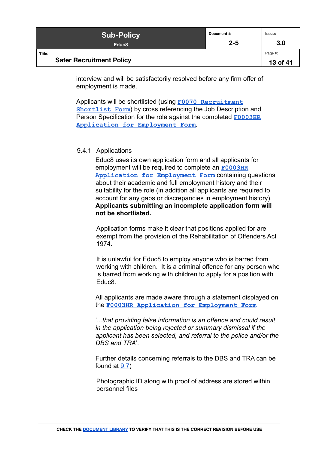| <b>Sub-Policy</b>                         | Document #: | Issue:              |
|-------------------------------------------|-------------|---------------------|
| Educ <sub>8</sub>                         | $2 - 5$     | 3.0                 |
| Title:<br><b>Safer Recruitment Policy</b> |             | Page #:<br>13 of 41 |

interview and will be satisfactorily resolved before any firm offer of employment is made.

Applicants will be shortlisted (using [F0070 Recruitment](https://docs.google.com/document/d/12WIUjJh-LcxNpSm4KJI8XXDxkMtUtg1VUxZBpLQ-NFA/edit#) **[Shortlist Form](https://docs.google.com/document/d/12WIUjJh-LcxNpSm4KJI8XXDxkMtUtg1VUxZBpLQ-NFA/edit#)**) by cross referencing the Job Description and Person Specification for the role against the completed **[F0003HR](https://form.jotformeu.com/80994686684378) [Application for Employment Form](https://form.jotformeu.com/80994686684378)**.

#### <span id="page-12-0"></span>9.4.1 Applications

Educ8 uses its own application form and all applicants for employment will be required to complete an **[F0003HR](https://form.jotformeu.com/80994686684378) [Application for Employment Form](https://form.jotformeu.com/80994686684378)** containing questions about their academic and full employment history and their suitability for the role (in addition all applicants are required to account for any gaps or discrepancies in employment history). **Applicants submitting an incomplete application form will not be shortlisted.**

Application forms make it clear that positions applied for are exempt from the provision of the Rehabilitation of Offenders Act 1974.

It is unlawful for Educ8 to employ anyone who is barred from working with children. It is a criminal offence for any person who is barred from working with children to apply for a position with Educ8.

All applicants are made aware through a statement displayed on the **[F0003HR Application for Employment Form](https://form.jotformeu.com/80994686684378)**

'*...that providing false information is an offence and could result in the application being rejected or summary dismissal if the applicant has been selected, and referral to the police and/or the DBS and TRA*'.

Further details concerning referrals to the DBS and TRA can be found at [9.7\)](#page-24-1)

Photographic ID along with proof of address are stored within personnel files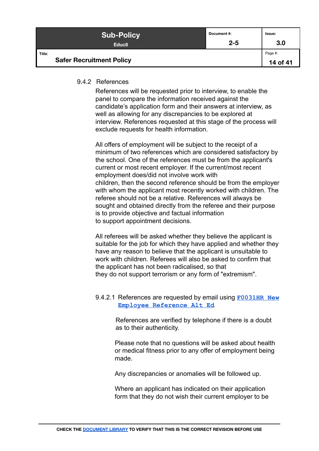| <b>Sub-Policy</b>                         | Document#: | Issue:              |
|-------------------------------------------|------------|---------------------|
| Educ <sub>8</sub>                         | $2 - 5$    | 3.0                 |
| Title:<br><b>Safer Recruitment Policy</b> |            | Page #:<br>14 of 41 |

#### <span id="page-13-0"></span>9.4.2 References

References will be requested prior to interview, to enable the panel to compare the information received against the candidate's application form and their answers at interview, as well as allowing for any discrepancies to be explored at interview. References requested at this stage of the process will exclude requests for health information.

All offers of employment will be subject to the receipt of a minimum of two references which are considered satisfactory by the school. One of the references must be from the applicant's current or most recent employer. If the current/most recent employment does/did not involve work with children, then the second reference should be from the employer with whom the applicant most recently worked with children. The referee should not be a relative. References will always be sought and obtained directly from the referee and their purpose is to provide objective and factual information to support appointment decisions.

All referees will be asked whether they believe the applicant is suitable for the job for which they have applied and whether they have any reason to believe that the applicant is unsuitable to work with children. Referees will also be asked to confirm that the applicant has not been radicalised, so that they do not support terrorism or any form of "extremism".

#### 9.4.2.1 References are requested by email using **[F0031HR](https://form.jotformeu.com/62423866865366) New [Employee Reference Alt Ed](https://form.jotformeu.com/62423866865366)**

References are verified by telephone if there is a doubt as to their authenticity.

Please note that no questions will be asked about health or medical fitness prior to any offer of employment being made.

Any discrepancies or anomalies will be followed up.

Where an applicant has indicated on their application form that they do not wish their current employer to be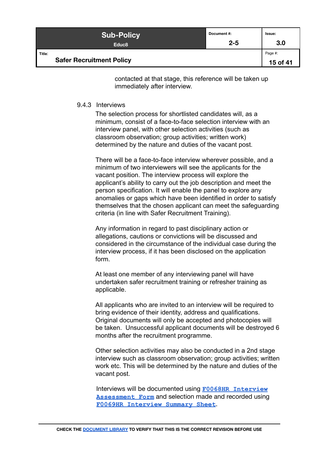| <b>Sub-Policy</b>                         | Document #: | Issue:              |
|-------------------------------------------|-------------|---------------------|
| Educ <sub>8</sub>                         | $2 - 5$     | 3.0                 |
| Title:<br><b>Safer Recruitment Policy</b> |             | Page #:<br>15 of 41 |

contacted at that stage, this reference will be taken up immediately after interview.

#### <span id="page-14-0"></span>9.4.3 Interviews

The selection process for shortlisted candidates will, as a minimum, consist of a face-to-face selection interview with an interview panel, with other selection activities (such as classroom observation; group activities; written work) determined by the nature and duties of the vacant post.

There will be a face-to-face interview wherever possible, and a minimum of two interviewers will see the applicants for the vacant position. The interview process will explore the applicant's ability to carry out the job description and meet the person specification. It will enable the panel to explore any anomalies or gaps which have been identified in order to satisfy themselves that the chosen applicant can meet the safeguarding criteria (in line with Safer Recruitment Training).

Any information in regard to past disciplinary action or allegations, cautions or convictions will be discussed and considered in the circumstance of the individual case during the interview process, if it has been disclosed on the application form.

At least one member of any interviewing panel will have undertaken safer recruitment training or refresher training as applicable.

All applicants who are invited to an interview will be required to bring evidence of their identity, address and qualifications. Original documents will only be accepted and photocopies will be taken. Unsuccessful applicant documents will be destroyed 6 months after the recruitment programme.

Other selection activities may also be conducted in a 2nd stage interview such as classroom observation; group activities; written work etc. This will be determined by the nature and duties of the vacant post.

Interviews will be documented using **[F0068HR Interview](https://docs.google.com/document/d/1FftZI-Ijyx_DhKqd7DWVyivznbUKoq-zC3LXbmsnF4E/edit) [Assessment Form](https://docs.google.com/document/d/1FftZI-Ijyx_DhKqd7DWVyivznbUKoq-zC3LXbmsnF4E/edit)** and selection made and recorded using **[F0069HR Interview Summary Sheet](https://docs.google.com/document/d/1NRbTk2GhEW1PbiAscrPuAYgLD2dBTcarbE2SyGNvt6U/edit)**.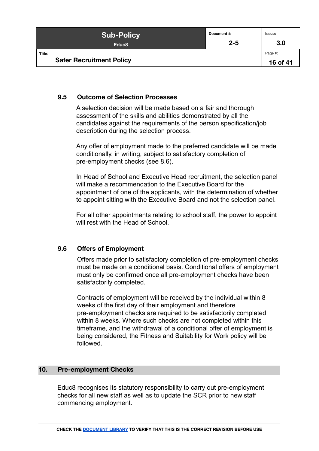| <b>Sub-Policy</b>                         | Document #: | Issue:              |
|-------------------------------------------|-------------|---------------------|
| Educ <sub>8</sub>                         | $2 - 5$     | 3.0                 |
| Title:<br><b>Safer Recruitment Policy</b> |             | Page #:<br>16 of 41 |

#### <span id="page-15-0"></span>**9.5 Outcome of Selection Processes**

A selection decision will be made based on a fair and thorough assessment of the skills and abilities demonstrated by all the candidates against the requirements of the person specification/job description during the selection process.

Any offer of employment made to the preferred candidate will be made conditionally, in writing, subject to satisfactory completion of pre-employment checks (see 8.6).

In Head of School and Executive Head recruitment, the selection panel will make a recommendation to the Executive Board for the appointment of one of the applicants, with the determination of whether to appoint sitting with the Executive Board and not the selection panel.

For all other appointments relating to school staff, the power to appoint will rest with the Head of School.

#### <span id="page-15-1"></span>**9.6 Offers of Employment**

Offers made prior to satisfactory completion of pre-employment checks must be made on a conditional basis. Conditional offers of employment must only be confirmed once all pre-employment checks have been satisfactorily completed.

Contracts of employment will be received by the individual within 8 weeks of the first day of their employment and therefore pre-employment checks are required to be satisfactorily completed within 8 weeks. Where such checks are not completed within this timeframe, and the withdrawal of a conditional offer of employment is being considered, the Fitness and Suitability for Work policy will be followed.

#### <span id="page-15-2"></span>**10. Pre-employment Checks**

Educ8 recognises its statutory responsibility to carry out pre-employment checks for all new staff as well as to update the SCR prior to new staff commencing employment.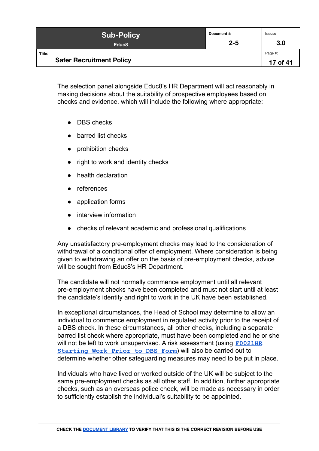| <b>Sub-Policy</b>                         | Document #: | Issue:              |
|-------------------------------------------|-------------|---------------------|
| Educ <sub>8</sub>                         | $2 - 5$     | 3.0                 |
| Title:<br><b>Safer Recruitment Policy</b> |             | Page #:<br>17 of 41 |

The selection panel alongside Educ8's HR Department will act reasonably in making decisions about the suitability of prospective employees based on checks and evidence, which will include the following where appropriate:

- DBS checks
- barred list checks
- prohibition checks
- right to work and identity checks
- health declaration
- references
- application forms
- interview information
- checks of relevant academic and professional qualifications

Any unsatisfactory pre-employment checks may lead to the consideration of withdrawal of a conditional offer of employment. Where consideration is being given to withdrawing an offer on the basis of pre-employment checks, advice will be sought from Educ8's HR Department.

The candidate will not normally commence employment until all relevant pre-employment checks have been completed and must not start until at least the candidate's identity and right to work in the UK have been established.

In exceptional circumstances, the Head of School may determine to allow an individual to commence employment in regulated activity prior to the receipt of a DBS check. In these circumstances, all other checks, including a separate barred list check where appropriate, must have been completed and he or she will not be left to work unsupervised. A risk assessment (using **[F0021HR](https://docs.google.com/document/d/1BJFBr0fa24pCs_gB0gr3UPVTbIpKUoeUS4hMaUUx0LU/edit#) [Starting Work Prior to DBS Form](https://docs.google.com/document/d/1BJFBr0fa24pCs_gB0gr3UPVTbIpKUoeUS4hMaUUx0LU/edit#)**) will also be carried out to determine whether other safeguarding measures may need to be put in place.

Individuals who have lived or worked outside of the UK will be subject to the same pre-employment checks as all other staff. In addition, further appropriate checks, such as an overseas police check, will be made as necessary in order to sufficiently establish the individual's suitability to be appointed.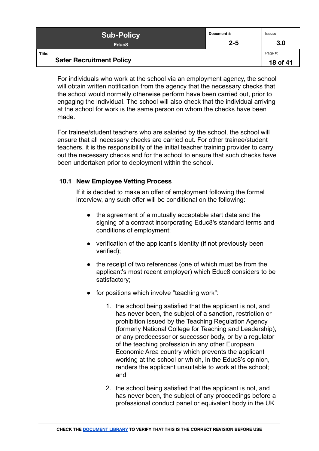| <b>Sub-Policy</b>                         | Document #: | Issue:              |
|-------------------------------------------|-------------|---------------------|
| Educ <sub>8</sub>                         | $2 - 5$     | 3.0                 |
| Title:<br><b>Safer Recruitment Policy</b> |             | Page #:<br>18 of 41 |

For individuals who work at the school via an employment agency, the school will obtain written notification from the agency that the necessary checks that the school would normally otherwise perform have been carried out, prior to engaging the individual. The school will also check that the individual arriving at the school for work is the same person on whom the checks have been made.

For trainee/student teachers who are salaried by the school, the school will ensure that all necessary checks are carried out. For other trainee/student teachers, it is the responsibility of the initial teacher training provider to carry out the necessary checks and for the school to ensure that such checks have been undertaken prior to deployment within the school.

#### <span id="page-17-0"></span>**10.1 New Employee Vetting Process**

If it is decided to make an offer of employment following the formal interview, any such offer will be conditional on the following:

- the agreement of a mutually acceptable start date and the signing of a contract incorporating Educ8's standard terms and conditions of employment;
- verification of the applicant's identity (if not previously been verified);
- the receipt of two references (one of which must be from the applicant's most recent employer) which Educ8 considers to be satisfactory;
- for positions which involve "teaching work":
	- 1. the school being satisfied that the applicant is not, and has never been, the subject of a sanction, restriction or prohibition issued by the Teaching Regulation Agency (formerly National College for Teaching and Leadership), or any predecessor or successor body, or by a regulator of the teaching profession in any other European Economic Area country which prevents the applicant working at the school or which, in the Educ8's opinion, renders the applicant unsuitable to work at the school; and
	- 2. the school being satisfied that the applicant is not, and has never been, the subject of any proceedings before a professional conduct panel or equivalent body in the UK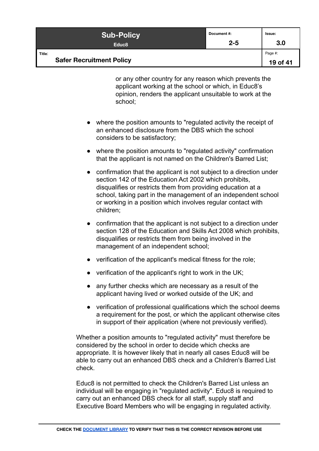| <b>Sub-Policy</b>                         | Document#: | Issue:              |
|-------------------------------------------|------------|---------------------|
| Educ <sub>8</sub>                         | $2 - 5$    | 3.0                 |
| Title:<br><b>Safer Recruitment Policy</b> |            | Page #:<br>19 of 41 |

or any other country for any reason which prevents the applicant working at the school or which, in Educ8's opinion, renders the applicant unsuitable to work at the school;

- where the position amounts to "regulated activity the receipt of an enhanced disclosure from the DBS which the school considers to be satisfactory;
- where the position amounts to "regulated activity" confirmation that the applicant is not named on the Children's Barred List;
- confirmation that the applicant is not subject to a direction under section 142 of the Education Act 2002 which prohibits, disqualifies or restricts them from providing education at a school, taking part in the management of an independent school or working in a position which involves regular contact with children;
- confirmation that the applicant is not subject to a direction under section 128 of the Education and Skills Act 2008 which prohibits, disqualifies or restricts them from being involved in the management of an independent school;
- verification of the applicant's medical fitness for the role;
- verification of the applicant's right to work in the UK;
- any further checks which are necessary as a result of the applicant having lived or worked outside of the UK; and
- verification of professional qualifications which the school deems a requirement for the post, or which the applicant otherwise cites in support of their application (where not previously verified).

Whether a position amounts to "regulated activity" must therefore be considered by the school in order to decide which checks are appropriate. It is however likely that in nearly all cases Educ8 will be able to carry out an enhanced DBS check and a Children's Barred List check.

Educ8 is not permitted to check the Children's Barred List unless an individual will be engaging in "regulated activity". Educ8 is required to carry out an enhanced DBS check for all staff, supply staff and Executive Board Members who will be engaging in regulated activity.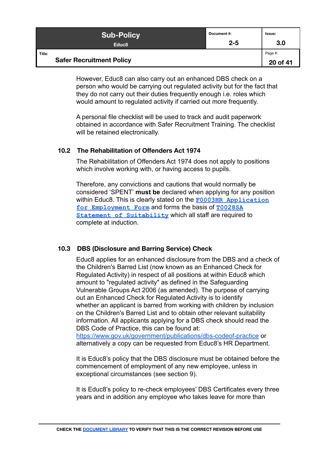| <b>Sub-Policy</b>                         | Document #: | Issue:              |
|-------------------------------------------|-------------|---------------------|
| Educ <sub>8</sub>                         | $2 - 5$     | 3.0                 |
| Title:<br><b>Safer Recruitment Policy</b> |             | Page #:<br>20 of 41 |

However, Educ8 can also carry out an enhanced DBS check on a person who would be carrying out regulated activity but for the fact that they do not carry out their duties frequently enough i.e. roles which would amount to regulated activity if carried out more frequently.

A personal file checklist will be used to track and audit paperwork obtained in accordance with Safer Recruitment Training. The checklist will be retained electronically.

#### <span id="page-19-0"></span>**10.2 The Rehabilitation of Offenders Act 1974**

The Rehabilitation of Offenders Act 1974 does not apply to positions which involve working with, or having access to pupils.

Therefore, any convictions and cautions that would normally be considered 'SPENT' **must be** declared when applying for any position within Educ8. This is clearly stated on the **F0003HR [Application](https://form.jotformeu.com/80994686684378) [for Employment Form](https://form.jotformeu.com/80994686684378)** and forms the basis of **[T0028SA](https://docs.google.com/document/d/1LXE-rSn5kRn1_F390ka-ypEotptourbGEjZCxx0ODB4/edit) [Statement of Suitability](https://docs.google.com/document/d/1LXE-rSn5kRn1_F390ka-ypEotptourbGEjZCxx0ODB4/edit)** which all staff are required to complete at induction.

#### <span id="page-19-1"></span>**10.3 DBS (Disclosure and Barring Service) Check**

Educ8 applies for an enhanced disclosure from the DBS and a check of the Children's Barred List (now known as an Enhanced Check for Regulated Activity) in respect of all positions at within Educ8 which amount to "regulated activity" as defined in the Safeguarding Vulnerable Groups Act 2006 (as amended). The purpose of carrying out an Enhanced Check for Regulated Activity is to identify whether an applicant is barred from working with children by inclusion on the Children's Barred List and to obtain other relevant suitability information. All applicants applying for a DBS check should read the DBS Code of Practice, this can be found at:

<https://www.gov.uk/government/publications/dbs-codeof-practice> or alternatively a copy can be requested from Educ8's HR Department.

It is Educ8's policy that the DBS disclosure must be obtained before the commencement of employment of any new employee, unless in exceptional circumstances (see section 9).

It is Educ8's policy to re-check employees' DBS Certificates every three years and in addition any employee who takes leave for more than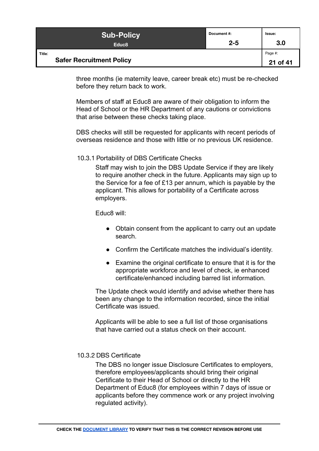| <b>Sub-Policy</b>                         | Document #: | Issue:              |
|-------------------------------------------|-------------|---------------------|
| Educ <sub>8</sub>                         | $2 - 5$     | 3.0                 |
| Title:<br><b>Safer Recruitment Policy</b> |             | Page #:<br>21 of 41 |

three months (ie maternity leave, career break etc) must be re-checked before they return back to work.

Members of staff at Educ8 are aware of their obligation to inform the Head of School or the HR Department of any cautions or convictions that arise between these checks taking place.

DBS checks will still be requested for applicants with recent periods of overseas residence and those with little or no previous UK residence.

<span id="page-20-0"></span>10.3.1 Portability of DBS Certificate Checks

Staff may wish to join the DBS Update Service if they are likely to require another check in the future. Applicants may sign up to the Service for a fee of £13 per annum, which is payable by the applicant. This allows for portability of a Certificate across employers.

Educ8 will:

- Obtain consent from the applicant to carry out an update search.
- Confirm the Certificate matches the individual's identity.
- Examine the original certificate to ensure that it is for the appropriate workforce and level of check, ie enhanced certificate/enhanced including barred list information.

The Update check would identify and advise whether there has been any change to the information recorded, since the initial Certificate was issued.

Applicants will be able to see a full list of those organisations that have carried out a status check on their account.

#### <span id="page-20-1"></span>10.3.2 DBS Certificate

The DBS no longer issue Disclosure Certificates to employers, therefore employees/applicants should bring their original Certificate to their Head of School or directly to the HR Department of Educ8 (for employees within 7 days of issue or applicants before they commence work or any project involving regulated activity).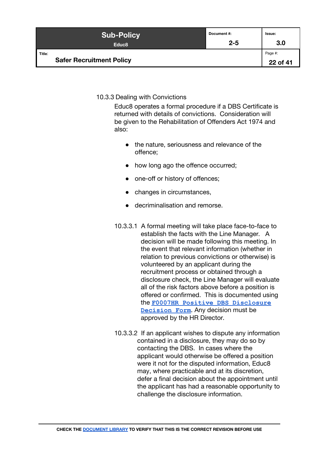| <b>Sub-Policy</b>                         | Document #: | Issue:              |
|-------------------------------------------|-------------|---------------------|
| Educ <sub>8</sub>                         | $2 - 5$     | 3.0                 |
| Title:<br><b>Safer Recruitment Policy</b> |             | Page #:<br>22 of 41 |

#### <span id="page-21-0"></span>10.3.3 Dealing with Convictions

Educ8 operates a formal procedure if a DBS Certificate is returned with details of convictions. Consideration will be given to the Rehabilitation of Offenders Act 1974 and also:

- the nature, seriousness and relevance of the offence;
- how long ago the offence occurred;
- one-off or history of offences;
- changes in circumstances,
- decriminalisation and remorse.
- 10.3.3.1 A formal meeting will take place face-to-face to establish the facts with the Line Manager. A decision will be made following this meeting. In the event that relevant information (whether in relation to previous convictions or otherwise) is volunteered by an applicant during the recruitment process or obtained through a disclosure check, the Line Manager will evaluate all of the risk factors above before a position is offered or confirmed. This is documented using the **[F0007HR Positive DBS Disclosure](https://docs.google.com/document/d/1wyxKsbs1iG1oXwJH-2kckefaIZdsYc1vCujdJVakxXA/) [Decision Form](https://docs.google.com/document/d/1wyxKsbs1iG1oXwJH-2kckefaIZdsYc1vCujdJVakxXA/)**. Any decision must be approved by the HR Director.
- 10.3.3.2 If an applicant wishes to dispute any information contained in a disclosure, they may do so by contacting the DBS. In cases where the applicant would otherwise be offered a position were it not for the disputed information, Educ8 may, where practicable and at its discretion, defer a final decision about the appointment until the applicant has had a reasonable opportunity to challenge the disclosure information.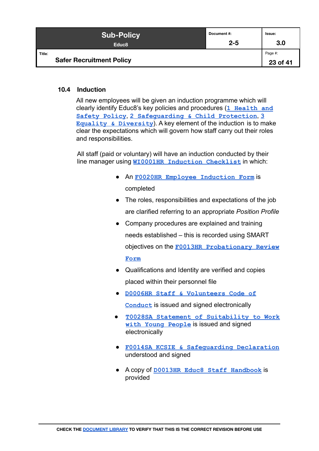| <b>Sub-Policy</b>                         | Document #: | Issue:              |
|-------------------------------------------|-------------|---------------------|
| Educ <sub>8</sub>                         | $2 - 5$     | 3.0                 |
| Title:<br><b>Safer Recruitment Policy</b> |             | Page #:<br>23 of 41 |

#### <span id="page-22-0"></span>**10.4 Induction**

All new employees will be given an induction programme which will clearly identify Educ8's key policies and procedures (**[1 Health and](https://docs.google.com/document/d/10OmrxBp2KubXnYuNcXW2Fqonw8wxlknqCbuRV_1vMfM) [Safety Policy](https://docs.google.com/document/d/10OmrxBp2KubXnYuNcXW2Fqonw8wxlknqCbuRV_1vMfM)**, **[2 Safeguarding & Child Protection](https://docs.google.com/document/d/1s7wkQaX23VOxEF91eQCd8P3e3xE2LWCf06c26ehRaw8/edit#)**, **[3](https://docs.google.com/document/d/1Q4W0hBw-4ncleQ1RCMhjJGu0Ri7RwXsV4omTMNZ4EXY/edit) [Equality & Diversity](https://docs.google.com/document/d/1Q4W0hBw-4ncleQ1RCMhjJGu0Ri7RwXsV4omTMNZ4EXY/edit)**). A key element of the induction is to make clear the expectations which will govern how staff carry out their roles and responsibilities.

All staff (paid or voluntary) will have an induction conducted by their line manager using **[WI0001HR Induction Checklist](https://docs.google.com/document/d/1MfT0oJSQqYjJR8NqiUon7WmqqFuaxDuA8ru1daKAiOc)** in which:

- An **[F0020HR Employee Induction Form](https://form.jotformeu.com/90344262715353)** is completed
- The roles, responsibilities and expectations of the job are clarified referring to an appropriate *Position Profile*
- Company procedures are explained and training needs established – this is recorded using SMART objectives on the **[F0013HR Probationary Review](https://docs.google.com/document/d/1SK9DpKIiXX7SGZKbmtP-SU08syxrOg3jTL7cRzHOj_0/edit) [Form](https://docs.google.com/document/d/1SK9DpKIiXX7SGZKbmtP-SU08syxrOg3jTL7cRzHOj_0/edit)**
- Qualifications and Identity are verified and copies placed within their personnel file
- **[D0006HR Staff & Volunteers Code of](https://docs.google.com/document/d/1qV_gwj8alYDYEu3bSf_WTMQc6SWrXl8_7fill8uDAMo/edit) [Conduct](https://docs.google.com/document/d/1qV_gwj8alYDYEu3bSf_WTMQc6SWrXl8_7fill8uDAMo/edit)** is issued and signed electronically
- **[T0028SA Statement of Suitability to Work](https://docs.google.com/document/d/1LXE-rSn5kRn1_F390ka-ypEotptourbGEjZCxx0ODB4/edit) [with Young People](https://docs.google.com/document/d/1LXE-rSn5kRn1_F390ka-ypEotptourbGEjZCxx0ODB4/edit)** is issued and signed electronically
- **[F0014SA KCSIE & Safeguarding Declaration](https://docs.google.com/document/d/1rSfWc9E9HucrJZu4LSSuZHGlOvbzK6zwJYSGvnR62Ck/edit)** understood and signed
- A copy of **[D0013HR Educ8 Staff Handbook](https://docs.google.com/document/d/1X_Eigo0Trga46F36tP6Uk5LsE2CzPVMP1WPFuTAohuw/edit#)** is provided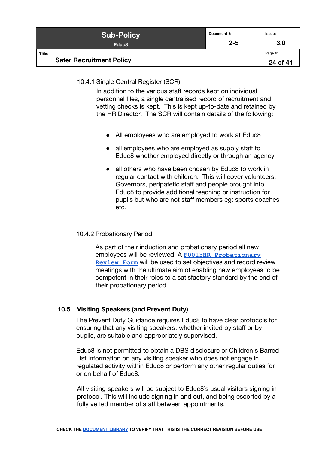| <b>Sub-Policy</b>                         | Document#: | Issue:              |
|-------------------------------------------|------------|---------------------|
| Educ <sub>8</sub>                         | $2 - 5$    | 3.0                 |
| Title:<br><b>Safer Recruitment Policy</b> |            | Page #:<br>24 of 41 |

#### <span id="page-23-0"></span>10.4.1 Single Central Register (SCR)

In addition to the various staff records kept on individual personnel files, a single centralised record of recruitment and vetting checks is kept. This is kept up-to-date and retained by the HR Director. The SCR will contain details of the following:

- All employees who are employed to work at Educ8
- all employees who are employed as supply staff to Educ8 whether employed directly or through an agency
- all others who have been chosen by Educ8 to work in regular contact with children. This will cover volunteers, Governors, peripatetic staff and people brought into Educ8 to provide additional teaching or instruction for pupils but who are not staff members eg: sports coaches etc.

#### <span id="page-23-1"></span>10.4.2 Probationary Period

As part of their induction and probationary period all new employees will be reviewed. A **[F0013HR Probationary](https://docs.google.com/document/d/1SK9DpKIiXX7SGZKbmtP-SU08syxrOg3jTL7cRzHOj_0/edit) [Review Form](https://docs.google.com/document/d/1SK9DpKIiXX7SGZKbmtP-SU08syxrOg3jTL7cRzHOj_0/edit)** will be used to set objectives and record review meetings with the ultimate aim of enabling new employees to be competent in their roles to a satisfactory standard by the end of their probationary period.

#### <span id="page-23-2"></span>**10.5 Visiting Speakers (and Prevent Duty)**

The Prevent Duty Guidance requires Educ8 to have clear protocols for ensuring that any visiting speakers, whether invited by staff or by pupils, are suitable and appropriately supervised.

Educ8 is not permitted to obtain a DBS disclosure or Children's Barred List information on any visiting speaker who does not engage in regulated activity within Educ8 or perform any other regular duties for or on behalf of Educ8.

All visiting speakers will be subject to Educ8's usual visitors signing in protocol. This will include signing in and out, and being escorted by a fully vetted member of staff between appointments.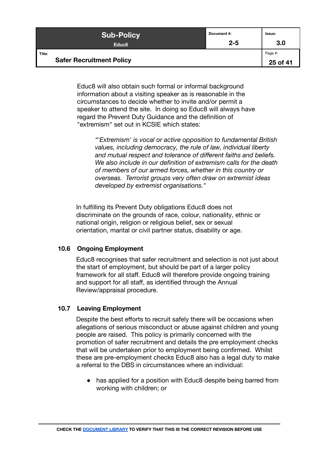| <b>Sub-Policy</b>                         | Document#: | Issue:              |
|-------------------------------------------|------------|---------------------|
| Educ <sub>8</sub>                         | $2 - 5$    | 3.0                 |
| Title:<br><b>Safer Recruitment Policy</b> |            | Page #:<br>25 of 41 |

Educ8 will also obtain such formal or informal background information about a visiting speaker as is reasonable in the circumstances to decide whether to invite and/or permit a speaker to attend the site. In doing so Educ8 will always have regard the Prevent Duty Guidance and the definition of "extremism" set out in KCSIE which states:

> *"'Extremism' is vocal or active opposition to fundamental British values, including democracy, the rule of law, individual liberty and mutual respect and tolerance of different faiths and beliefs. We also include in our definition of extremism calls for the death of members of our armed forces, whether in this country or overseas. Terrorist groups very often draw on extremist ideas developed by extremist organisations."*

In fulfilling its Prevent Duty obligations Educ8 does not discriminate on the grounds of race, colour, nationality, ethnic or national origin, religion or religious belief, sex or sexual orientation, marital or civil partner status, disability or age.

#### <span id="page-24-0"></span>**10.6 Ongoing Employment**

Educ8 recognises that safer recruitment and selection is not just about the start of employment, but should be part of a larger policy framework for all staff. Educ8 will therefore provide ongoing training and support for all staff, as identified through the Annual Review/appraisal procedure.

#### <span id="page-24-1"></span>**10.7 Leaving Employment**

Despite the best efforts to recruit safely there will be occasions when allegations of serious misconduct or abuse against children and young people are raised. This policy is primarily concerned with the promotion of safer recruitment and details the pre employment checks that will be undertaken prior to employment being confirmed. Whilst these are pre-employment checks Educ8 also has a legal duty to make a referral to the DBS in circumstances where an individual:

• has applied for a position with Educ8 despite being barred from working with children; or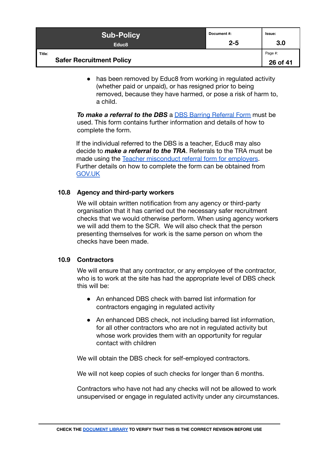| <b>Sub-Policy</b>               | Document#: | Issue:   |
|---------------------------------|------------|----------|
| Educ <sub>8</sub>               | $2 - 5$    | 3.0      |
| Title:                          |            | Page #:  |
| <b>Safer Recruitment Policy</b> |            | 26 of 41 |

• has been removed by Educ8 from working in regulated activity (whether paid or unpaid), or has resigned prior to being removed, because they have harmed, or pose a risk of harm to, a child.

**To make a referral to the DBS** a **DBS** Barring Referral Form must be used. This form contains further information and details of how to complete the form.

If the individual referred to the DBS is a teacher, Educ8 may also decide to *make a referral to the TRA*. Referrals to the TRA must be made using the [Teacher misconduct referral form for](https://www.gov.uk/government/publications/teacher-misconduct-referral-form) employers. Further details on how to complete the form can be obtained from [GOV.UK](https://www.gov.uk/guidance/teacher-misconduct-referring-a-case#referrals-by-employers)

#### <span id="page-25-0"></span>**10.8 Agency and third-party workers**

We will obtain written notification from any agency or third-party organisation that it has carried out the necessary safer recruitment checks that we would otherwise perform. When using agency workers we will add them to the SCR. We will also check that the person presenting themselves for work is the same person on whom the checks have been made.

#### <span id="page-25-1"></span>**10.9 Contractors**

We will ensure that any contractor, or any employee of the contractor, who is to work at the site has had the appropriate level of DBS check this will be:

- An enhanced DBS check with barred list information for contractors engaging in regulated activity
- An enhanced DBS check, not including barred list information, for all other contractors who are not in regulated activity but whose work provides them with an opportunity for regular contact with children

We will obtain the DBS check for self-employed contractors.

We will not keep copies of such checks for longer than 6 months.

Contractors who have not had any checks will not be allowed to work unsupervised or engage in regulated activity under any circumstances.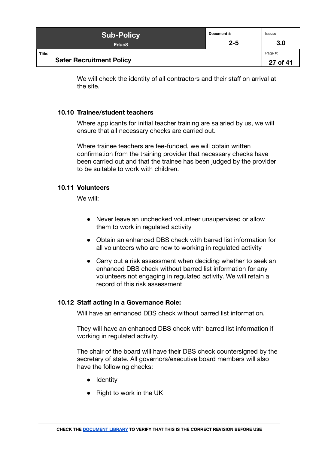| <b>Sub-Policy</b>                         | Document#: | Issue:              |
|-------------------------------------------|------------|---------------------|
| Educ <sub>8</sub>                         | $2 - 5$    | 3.0                 |
| Title:<br><b>Safer Recruitment Policy</b> |            | Page #:<br>27 of 41 |

We will check the identity of all contractors and their staff on arrival at the site.

#### <span id="page-26-0"></span>**10.10 Trainee/student teachers**

Where applicants for initial teacher training are salaried by us, we will ensure that all necessary checks are carried out.

Where trainee teachers are fee-funded, we will obtain written confirmation from the training provider that necessary checks have been carried out and that the trainee has been judged by the provider to be suitable to work with children.

#### <span id="page-26-1"></span>**10.11 Volunteers**

We will:

- Never leave an unchecked volunteer unsupervised or allow them to work in regulated activity
- Obtain an enhanced DBS check with barred list information for all volunteers who are new to working in regulated activity
- Carry out a risk assessment when deciding whether to seek an enhanced DBS check without barred list information for any volunteers not engaging in regulated activity. We will retain a record of this risk assessment

#### <span id="page-26-2"></span>**10.12 Staff acting in a Governance Role:**

Will have an enhanced DBS check without barred list information.

They will have an enhanced DBS check with barred list information if working in regulated activity.

The chair of the board will have their DBS check countersigned by the secretary of state. All governors/executive board members will also have the following checks:

- Identity
- Right to work in the UK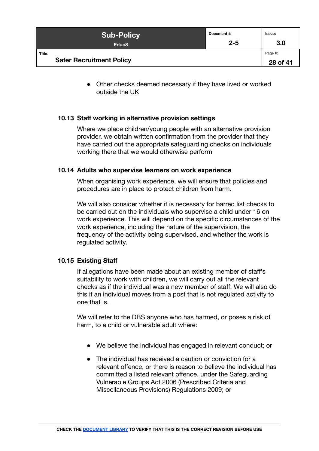| <b>Sub-Policy</b>                         | Document#: | Issue:              |
|-------------------------------------------|------------|---------------------|
| Educ <sub>8</sub>                         | $2 - 5$    | 3.0                 |
| Title:<br><b>Safer Recruitment Policy</b> |            | Page #:<br>28 of 41 |

• Other checks deemed necessary if they have lived or worked outside the UK

#### <span id="page-27-0"></span>**10.13 Staff working in alternative provision settings**

Where we place children/young people with an alternative provision provider, we obtain written confirmation from the provider that they have carried out the appropriate safeguarding checks on individuals working there that we would otherwise perform

#### <span id="page-27-1"></span>**10.14 Adults who supervise learners on work experience**

When organising work experience, we will ensure that policies and procedures are in place to protect children from harm.

We will also consider whether it is necessary for barred list checks to be carried out on the individuals who supervise a child under 16 on work experience. This will depend on the specific circumstances of the work experience, including the nature of the supervision, the frequency of the activity being supervised, and whether the work is regulated activity.

#### <span id="page-27-2"></span>**10.15 Existing Staff**

If allegations have been made about an existing member of staff's suitability to work with children, we will carry out all the relevant checks as if the individual was a new member of staff. We will also do this if an individual moves from a post that is not regulated activity to one that is.

We will refer to the DBS anyone who has harmed, or poses a risk of harm, to a child or vulnerable adult where:

- We believe the individual has engaged in relevant conduct; or
- The individual has received a caution or conviction for a relevant offence, or there is reason to believe the individual has committed a listed relevant offence, under the Safeguarding Vulnerable Groups Act 2006 (Prescribed Criteria and Miscellaneous Provisions) Regulations 2009; or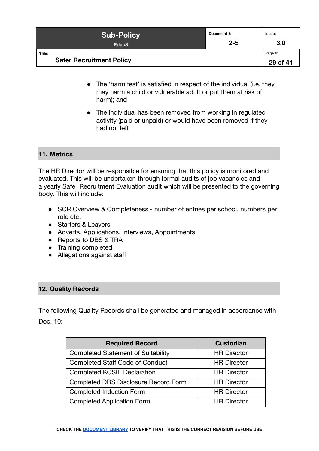| <b>Sub-Policy</b>                         | Document #: | <b>Issue:</b>       |
|-------------------------------------------|-------------|---------------------|
| Educ <sub>8</sub>                         | $2 - 5$     | 3.0                 |
| Title:<br><b>Safer Recruitment Policy</b> |             | Page #:<br>29 of 41 |

- The 'harm test' is satisfied in respect of the individual (i.e. they may harm a child or vulnerable adult or put them at risk of harm); and
- The individual has been removed from working in regulated activity (paid or unpaid) or would have been removed if they had not left

#### <span id="page-28-0"></span>**11. Metrics**

The HR Director will be responsible for ensuring that this policy is monitored and evaluated. This will be undertaken through formal audits of job vacancies and a yearly Safer Recruitment Evaluation audit which will be presented to the governing body. This will include:

- SCR Overview & Completeness number of entries per school, numbers per role etc.
- Starters & Leavers
- Adverts, Applications, Interviews, Appointments
- Reports to DBS & TRA
- Training completed
- Allegations against staff

#### <span id="page-28-1"></span>**12. Quality Records**

The following Quality Records shall be generated and managed in accordance with Doc. 10:

| <b>Required Record</b>                    | <b>Custodian</b>   |
|-------------------------------------------|--------------------|
| <b>Completed Statement of Suitability</b> | <b>HR Director</b> |
| <b>Completed Staff Code of Conduct</b>    | <b>HR Director</b> |
| <b>Completed KCSIE Declaration</b>        | <b>HR Director</b> |
| Completed DBS Disclosure Record Form      | <b>HR Director</b> |
| <b>Completed Induction Form</b>           | <b>HR Director</b> |
| <b>Completed Application Form</b>         | <b>HR Director</b> |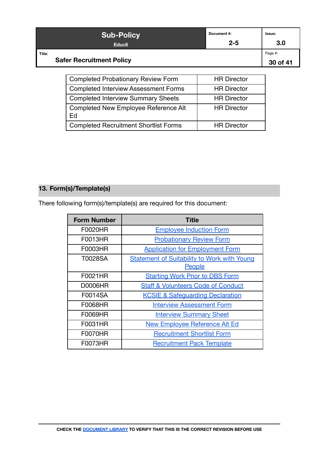| <b>Sub-Policy</b>                         | Document #: | Issue:              |
|-------------------------------------------|-------------|---------------------|
| Educ <sub>8</sub>                         | $2 - 5$     | 3.0                 |
| Title:<br><b>Safer Recruitment Policy</b> |             | Page #:<br>30 of 41 |

| <b>Completed Probationary Review Form</b>         | <b>HR Director</b> |
|---------------------------------------------------|--------------------|
| <b>Completed Interview Assessment Forms</b>       | <b>HR Director</b> |
| <b>Completed Interview Summary Sheets</b>         | <b>HR Director</b> |
| <b>Completed New Employee Reference Alt</b><br>Ed | <b>HR Director</b> |
| <b>Completed Recruitment Shortlist Forms</b>      | <b>HR Director</b> |

# **13. Form(s)/Template(s)**

There following form(s)/template(s) are required for this document:

| <b>Form Number</b> | Title                                                               |
|--------------------|---------------------------------------------------------------------|
| F0020HR            | <b>Employee Induction Form</b>                                      |
| F0013HR            | <b>Probationary Review Form</b>                                     |
| F0003HR            | <b>Application for Employment Form</b>                              |
| T0028SA            | <b>Statement of Suitability to Work with Young</b><br><b>People</b> |
| F0021HR            | <b>Starting Work Prior to DBS Form</b>                              |
| <b>D0006HR</b>     | <b>Staff &amp; Volunteers Code of Conduct</b>                       |
| F0014SA            | <b>KCSIE &amp; Safequarding Declaration</b>                         |
| F0068HR            | <b>Interview Assessment Form</b>                                    |
| F0069HR            | <b>Interview Summary Sheet</b>                                      |
| F0031HR            | <b>New Employee Reference Alt Ed</b>                                |
| <b>F0070HR</b>     | <b>Recruitment Shortlist Form</b>                                   |
| F0073HR            | <b>Recruitment Pack Template</b>                                    |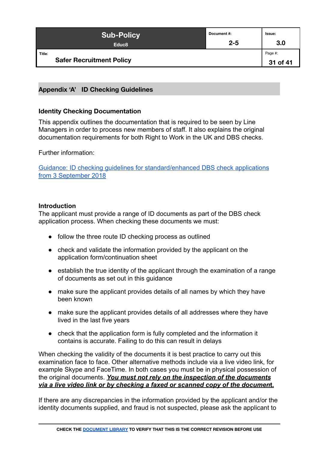| <b>Sub-Policy</b>                         | Document #: | Issue:              |
|-------------------------------------------|-------------|---------------------|
| Educ <sub>8</sub>                         | $2 - 5$     | 3.0                 |
| Title:<br><b>Safer Recruitment Policy</b> |             | Page #:<br>31 of 41 |

#### <span id="page-30-0"></span>**Appendix 'A' ID Checking Guidelines**

#### <span id="page-30-1"></span>**Identity Checking Documentation**

This appendix outlines the documentation that is required to be seen by Line Managers in order to process new members of staff. It also explains the original documentation requirements for both Right to Work in the UK and DBS checks.

Further information:

[Guidance: ID checking guidelines for standard/enhanced DBS check applications](https://www.gov.uk/government/publications/dbs-identity-checking-guidelines/id-checking-guidelines-for-dbs-check-applications-from-3-september-2018#nonEEA) [from 3 September 2018](https://www.gov.uk/government/publications/dbs-identity-checking-guidelines/id-checking-guidelines-for-dbs-check-applications-from-3-september-2018#nonEEA)

#### **Introduction**

The applicant must provide a range of ID documents as part of the DBS check application process. When checking these documents we must:

- follow the three route ID checking process as outlined
- check and validate the information provided by the applicant on the application form/continuation sheet
- establish the true identity of the applicant through the examination of a range of documents as set out in this guidance
- make sure the applicant provides details of all names by which they have been known
- make sure the applicant provides details of all addresses where they have lived in the last five years
- check that the application form is fully completed and the information it contains is accurate. Failing to do this can result in delays

When checking the validity of the documents it is best practice to carry out this examination face to face. Other alternative methods include via a live video link, for example Skype and FaceTime. In both cases you must be in physical possession of the original documents. *You must not rely on the inspection of the documents via a live video link or by checking a faxed or scanned copy of the documen***t.**

If there are any discrepancies in the information provided by the applicant and/or the identity documents supplied, and fraud is not suspected, please ask the applicant to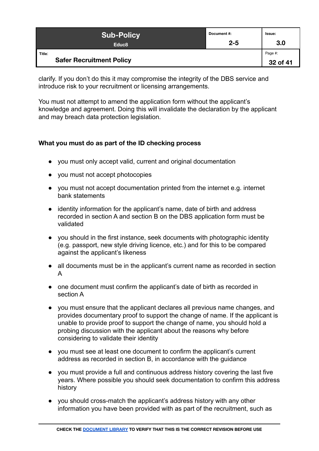| <b>Sub-Policy</b>                         | Document#: | Issue:              |
|-------------------------------------------|------------|---------------------|
| Educ <sub>8</sub>                         | $2 - 5$    | 3.0                 |
| Title:<br><b>Safer Recruitment Policy</b> |            | Page #:<br>32 of 41 |

clarify. If you don't do this it may compromise the integrity of the DBS service and introduce risk to your recruitment or licensing arrangements.

You must not attempt to amend the application form without the applicant's knowledge and agreement. Doing this will invalidate the declaration by the applicant and may breach data protection legislation.

# <span id="page-31-0"></span>**What you must do as part of the ID checking process**

- you must only accept valid, current and original documentation
- you must not accept photocopies
- you must not accept documentation printed from the internet e.g. internet bank statements
- identity information for the applicant's name, date of birth and address recorded in section A and section B on the DBS application form must be validated
- you should in the first instance, seek documents with photographic identity (e.g. passport, new style driving licence, etc.) and for this to be compared against the applicant's likeness
- all documents must be in the applicant's current name as recorded in section A
- one document must confirm the applicant's date of birth as recorded in section A
- you must ensure that the applicant declares all previous name changes, and provides documentary proof to support the change of name. If the applicant is unable to provide proof to support the change of name, you should hold a probing discussion with the applicant about the reasons why before considering to validate their identity
- you must see at least one document to confirm the applicant's current address as recorded in section B, in accordance with the guidance
- you must provide a full and continuous address history covering the last five years. Where possible you should seek documentation to confirm this address history
- you should cross-match the applicant's address history with any other information you have been provided with as part of the recruitment, such as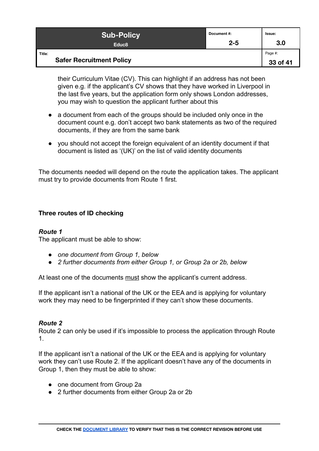| <b>Sub-Policy</b>                         | Document #: | <b>Issue:</b>       |
|-------------------------------------------|-------------|---------------------|
| Educ <sub>8</sub>                         | $2 - 5$     | 3.0                 |
| Title:<br><b>Safer Recruitment Policy</b> |             | Page #:<br>33 of 41 |

their Curriculum Vitae (CV). This can highlight if an address has not been given e.g. if the applicant's CV shows that they have worked in Liverpool in the last five years, but the application form only shows London addresses, you may wish to question the applicant further about this

- a document from each of the groups should be included only once in the document count e.g. don't accept two bank statements as two of the required documents, if they are from the same bank
- you should not accept the foreign equivalent of an identity document if that document is listed as '(UK)' on the list of valid identity documents

The documents needed will depend on the route the application takes. The applicant must try to provide documents from Route 1 first.

#### <span id="page-32-0"></span>**Three routes of ID checking**

#### *Route 1*

The applicant must be able to show:

- *● one document from Group 1, below*
- *● 2 further documents from either Group 1, or Group 2a or 2b, below*

At least one of the documents must show the applicant's current address.

If the applicant isn't a national of the UK or the EEA and is applying for voluntary work they may need to be fingerprinted if they can't show these documents.

#### *Route 2*

Route 2 can only be used if it's impossible to process the application through Route 1.

If the applicant isn't a national of the UK or the EEA and is applying for voluntary work they can't use Route 2. If the applicant doesn't have any of the documents in Group 1, then they must be able to show:

- one document from Group 2a
- 2 further documents from either Group 2a or 2b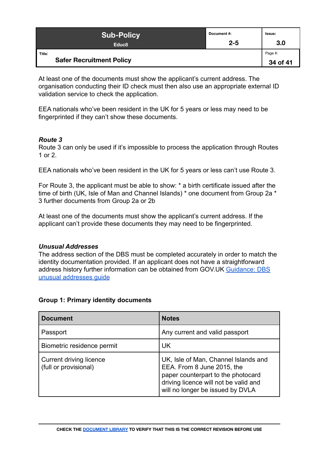| <b>Sub-Policy</b>                         | Document #: | Issue:              |
|-------------------------------------------|-------------|---------------------|
| Educ <sub>8</sub>                         | $2 - 5$     | 3.0                 |
| Title:<br><b>Safer Recruitment Policy</b> |             | Page #:<br>34 of 41 |

At least one of the documents must show the applicant's current address. The organisation conducting their ID check must then also use an appropriate external ID validation service to check the application.

EEA nationals who've been resident in the UK for 5 years or less may need to be fingerprinted if they can't show these documents.

#### *Route 3*

Route 3 can only be used if it's impossible to process the application through Routes 1 or 2.

EEA nationals who've been resident in the UK for 5 years or less can't use Route 3.

For Route 3, the applicant must be able to show: \* a birth certificate issued after the time of birth (UK, Isle of Man and Channel Islands) \* one document from Group 2a \* 3 further documents from Group 2a or 2b

At least one of the documents must show the applicant's current address. If the applicant can't provide these documents they may need to be fingerprinted.

#### *Unusual Addresses*

The address section of the DBS must be completed accurately in order to match the identity documentation provided. If an applicant does not have a straightforward address history further information can be obtained from GOV.UK [Guidance: DBS](https://www.gov.uk/government/publications/dbs-unusual-addresses-guidance/dbs-unusual-addresses-guide) [unusual addresses guide](https://www.gov.uk/government/publications/dbs-unusual-addresses-guidance/dbs-unusual-addresses-guide)

#### **Group 1: Primary identity documents**

| <b>Document</b>                                  | <b>Notes</b>                                                                                                                                                                          |
|--------------------------------------------------|---------------------------------------------------------------------------------------------------------------------------------------------------------------------------------------|
| Passport                                         | Any current and valid passport                                                                                                                                                        |
| Biometric residence permit                       | UK                                                                                                                                                                                    |
| Current driving licence<br>(full or provisional) | UK, Isle of Man, Channel Islands and<br>EEA. From 8 June 2015, the<br>paper counterpart to the photocard<br>driving licence will not be valid and<br>will no longer be issued by DVLA |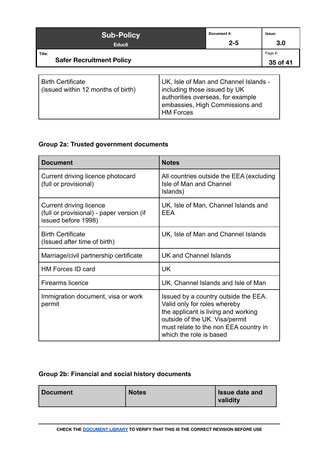| <b>Sub-Policy</b><br>Educ <sub>8</sub>                         |                                                  | Document #:<br>$2 - 5$                                                                                        | Issue:<br>3.0       |
|----------------------------------------------------------------|--------------------------------------------------|---------------------------------------------------------------------------------------------------------------|---------------------|
| Title:<br><b>Safer Recruitment Policy</b>                      |                                                  |                                                                                                               | Page #:<br>35 of 41 |
| <b>Birth Certificate</b><br>(issued within 12 months of birth) | including those issued by UK<br><b>HM Forces</b> | UK, Isle of Man and Channel Islands -<br>authorities overseas, for example<br>embassies, High Commissions and |                     |

# **Group 2a: Trusted government documents**

| <b>Document</b>                                                                             | <b>Notes</b>                                                                                                                                                                                                      |
|---------------------------------------------------------------------------------------------|-------------------------------------------------------------------------------------------------------------------------------------------------------------------------------------------------------------------|
| Current driving licence photocard<br>(full or provisional)                                  | All countries outside the EEA (excluding<br>Isle of Man and Channel<br>Islands)                                                                                                                                   |
| Current driving licence<br>(full or provisional) - paper version (if<br>issued before 1998) | UK, Isle of Man, Channel Islands and<br>EEA                                                                                                                                                                       |
| <b>Birth Certificate</b><br>(Issued after time of birth)                                    | UK, Isle of Man and Channel Islands                                                                                                                                                                               |
| Marriage/civil partnership certificate                                                      | UK and Channel Islands                                                                                                                                                                                            |
| <b>HM Forces ID card</b>                                                                    | <b>UK</b>                                                                                                                                                                                                         |
| <b>Firearms licence</b>                                                                     | UK, Channel Islands and Isle of Man                                                                                                                                                                               |
| Immigration document, visa or work<br>permit                                                | Issued by a country outside the EEA.<br>Valid only for roles whereby<br>the applicant is living and working<br>outside of the UK. Visa/permit<br>must relate to the non EEA country in<br>which the role is based |

# **Group 2b: Financial and social history documents**

| Document | <b>Notes</b> | <b>Issue date and</b><br>validity |
|----------|--------------|-----------------------------------|
|----------|--------------|-----------------------------------|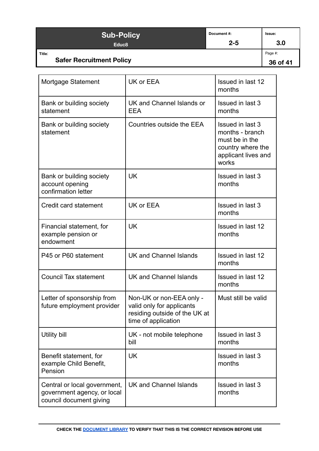| <b>Sub-Policy</b>                         | Document #: | Issue:              |
|-------------------------------------------|-------------|---------------------|
| Educ <sub>8</sub>                         | $2 - 5$     | 3.0                 |
| Title:<br><b>Safer Recruitment Policy</b> |             | Page #:<br>36 of 41 |

| Mortgage Statement                                                                     | UK or EEA                                                                                                     | <b>Issued in last 12</b><br>months                                                                         |
|----------------------------------------------------------------------------------------|---------------------------------------------------------------------------------------------------------------|------------------------------------------------------------------------------------------------------------|
| Bank or building society<br>statement                                                  | UK and Channel Islands or<br><b>EEA</b>                                                                       | <b>Issued in last 3</b><br>months                                                                          |
| Bank or building society<br>statement                                                  | Countries outside the EEA                                                                                     | Issued in last 3<br>months - branch<br>must be in the<br>country where the<br>applicant lives and<br>works |
| Bank or building society<br>account opening<br>confirmation letter                     | <b>UK</b>                                                                                                     | Issued in last 3<br>months                                                                                 |
| Credit card statement                                                                  | UK or EEA                                                                                                     | Issued in last 3<br>months                                                                                 |
| Financial statement, for<br>example pension or<br>endowment                            | <b>UK</b>                                                                                                     | <b>Issued in last 12</b><br>months                                                                         |
| P45 or P60 statement                                                                   | <b>UK and Channel Islands</b>                                                                                 | Issued in last 12<br>months                                                                                |
| <b>Council Tax statement</b>                                                           | <b>UK and Channel Islands</b>                                                                                 | <b>Issued in last 12</b><br>months                                                                         |
| Letter of sponsorship from<br>future employment provider                               | Non-UK or non-EEA only -<br>valid only for applicants<br>residing outside of the UK at<br>time of application | Must still be valid                                                                                        |
| <b>Utility bill</b>                                                                    | UK - not mobile telephone<br>bill                                                                             | Issued in last 3<br>months                                                                                 |
| Benefit statement, for<br>example Child Benefit,<br>Pension                            | <b>UK</b>                                                                                                     | Issued in last 3<br>months                                                                                 |
| Central or local government,<br>government agency, or local<br>council document giving | UK and Channel Islands                                                                                        | Issued in last 3<br>months                                                                                 |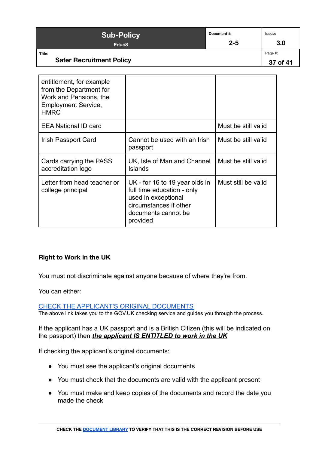| <b>Sub-Policy</b><br>Educ <sub>8</sub>                                                                                     | Document#:<br>$2 - 5$      | Issue:<br>3.0       |
|----------------------------------------------------------------------------------------------------------------------------|----------------------------|---------------------|
| Title:<br><b>Safer Recruitment Policy</b>                                                                                  |                            | Page #:<br>37 of 41 |
| entitlement, for example<br>from the Department for<br>Work and Pensions, the<br><b>Employment Service,</b><br><b>HMRC</b> |                            |                     |
| $\Gamma \Gamma$ A Notional ID oard                                                                                         | $M_{11}$ at he atill velid |                     |

| <b>EEA National ID card</b>                      |                                                                                                                                                  | Must be still valid |
|--------------------------------------------------|--------------------------------------------------------------------------------------------------------------------------------------------------|---------------------|
| Irish Passport Card                              | Cannot be used with an Irish<br>passport                                                                                                         | Must be still valid |
| Cards carrying the PASS<br>accreditation logo    | UK, Isle of Man and Channel<br>Islands                                                                                                           | Must be still valid |
| Letter from head teacher or<br>college principal | UK - for 16 to 19 year olds in<br>full time education - only<br>used in exceptional<br>circumstances if other<br>documents cannot be<br>provided | Must still be valid |

#### <span id="page-36-0"></span>**Right to Work in the UK**

You must not discriminate against anyone because of where they're from.

You can either:

[CHECK THE APPLICANT'S ORIGINAL DOCUMENTS](https://www.gov.uk/legal-right-work-uk)

The above link takes you to the GOV.UK checking service and guides you through the process.

If the applicant has a UK passport and is a British Citizen (this will be indicated on the passport) then *the applicant IS ENTITLED to work in the UK*

If checking the applicant's original documents:

- You must see the applicant's original documents
- You must check that the documents are valid with the applicant present
- You must make and keep copies of the documents and record the date you made the check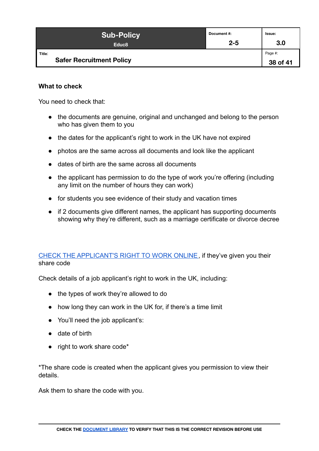| <b>Sub-Policy</b>                         | Document#: | Issue:              |
|-------------------------------------------|------------|---------------------|
| Educ <sub>8</sub>                         | $2 - 5$    | 3.0                 |
| Title:<br><b>Safer Recruitment Policy</b> |            | Page #:<br>38 of 41 |

#### **What to check**

You need to check that:

- the documents are genuine, original and unchanged and belong to the person who has given them to you
- the dates for the applicant's right to work in the UK have not expired
- photos are the same across all documents and look like the applicant
- dates of birth are the same across all documents
- the applicant has permission to do the type of work you're offering (including any limit on the number of hours they can work)
- for students you see evidence of their study and vacation times
- if 2 documents give different names, the applicant has supporting documents showing why they're different, such as a marriage certificate or divorce decree

#### [CHECK THE APPLICANT'S RIGHT](https://www.gov.uk/view-right-to-work) TO WORK ONLINE, if they've given you their share code

Check details of a job applicant's right to work in the UK, including:

- the types of work they're allowed to do
- how long they can work in the UK for, if there's a time limit
- You'll need the job applicant's:
- date of birth
- right to work share code\*

\*The share code is created when the applicant gives you permission to view their details.

Ask them to share the code with you.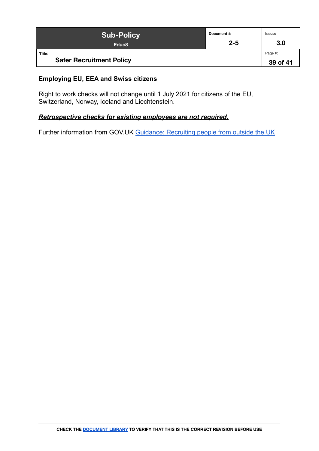| <b>Sub-Policy</b>                         | Document#: | Issue:              |
|-------------------------------------------|------------|---------------------|
| Educ <sub>8</sub>                         | $2 - 5$    | 3.0                 |
| Title:<br><b>Safer Recruitment Policy</b> |            | Page #:<br>39 of 41 |

#### **Employing EU, EEA and Swiss citizens**

Right to work checks will not change until 1 July 2021 for citizens of the EU, Switzerland, Norway, Iceland and Liechtenstein.

#### *Retrospective checks for existing employees are not required.*

Further information from GOV.UK Guidance: Recruiting [people from outside the UK](https://www.gov.uk/guidance/recruiting-people-from-outside-the-uk)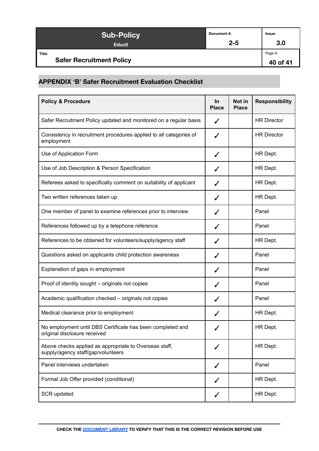| <b>Sub-Policy</b>                         | Document #: | Issue:              |
|-------------------------------------------|-------------|---------------------|
| Educ <sub>8</sub>                         | $2 - 5$     | 3.0                 |
| Title:<br><b>Safer Recruitment Policy</b> |             | Page #:<br>40 of 41 |

# <span id="page-39-0"></span>**APPENDIX 'B' Safer Recruitment Evaluation Checklist**

| <b>Policy &amp; Procedure</b>                                                                | In.<br><b>Place</b> | Not in<br><b>Place</b> | <b>Responsibility</b> |
|----------------------------------------------------------------------------------------------|---------------------|------------------------|-----------------------|
| Safer Recruitment Policy updated and monitored on a regular basis                            | ✓                   |                        | <b>HR Director</b>    |
| Consistency in recruitment procedures applied to all categories of<br>employment             | J                   |                        | <b>HR Director</b>    |
| Use of Application Form                                                                      | ✓                   |                        | HR Dept.              |
| Use of Job Description & Person Specification                                                |                     |                        | HR Dept.              |
| Referees asked to specifically comment on suitability of applicant                           | ✓                   |                        | HR Dept.              |
| Two written references taken up                                                              | ✓                   |                        | HR Dept.              |
| One member of panel to examine references prior to interview                                 | ✓                   |                        | Panel                 |
| References followed up by a telephone reference                                              | ✔                   |                        | Panel                 |
| References to be obtained for volunteers/supply/agency staff                                 | ✓                   |                        | HR Dept.              |
| Questions asked on applicants child protection awareness                                     | ✓                   |                        | Panel                 |
| Explanation of gaps in employment                                                            | ✓                   |                        | Panel                 |
| Proof of identity sought - originals not copies                                              | ✓                   |                        | Panel                 |
| Academic qualification checked - originals not copies                                        | ✓                   |                        | Panel                 |
| Medical clearance prior to employment                                                        | ✓                   |                        | HR Dept.              |
| No employment until DBS Certificate has been completed and<br>original disclosure received   |                     |                        | HR Dept.              |
| Above checks applied as appropriate to Overseas staff,<br>supply/agency staff/gap/volunteers | ✓                   |                        | HR Dept.              |
| Panel interviews undertaken                                                                  | ✓                   |                        | Panel                 |
| Formal Job Offer provided (conditional)                                                      | ✓                   |                        | HR Dept.              |
| <b>SCR</b> updated                                                                           | ✓                   |                        | HR Dept.              |